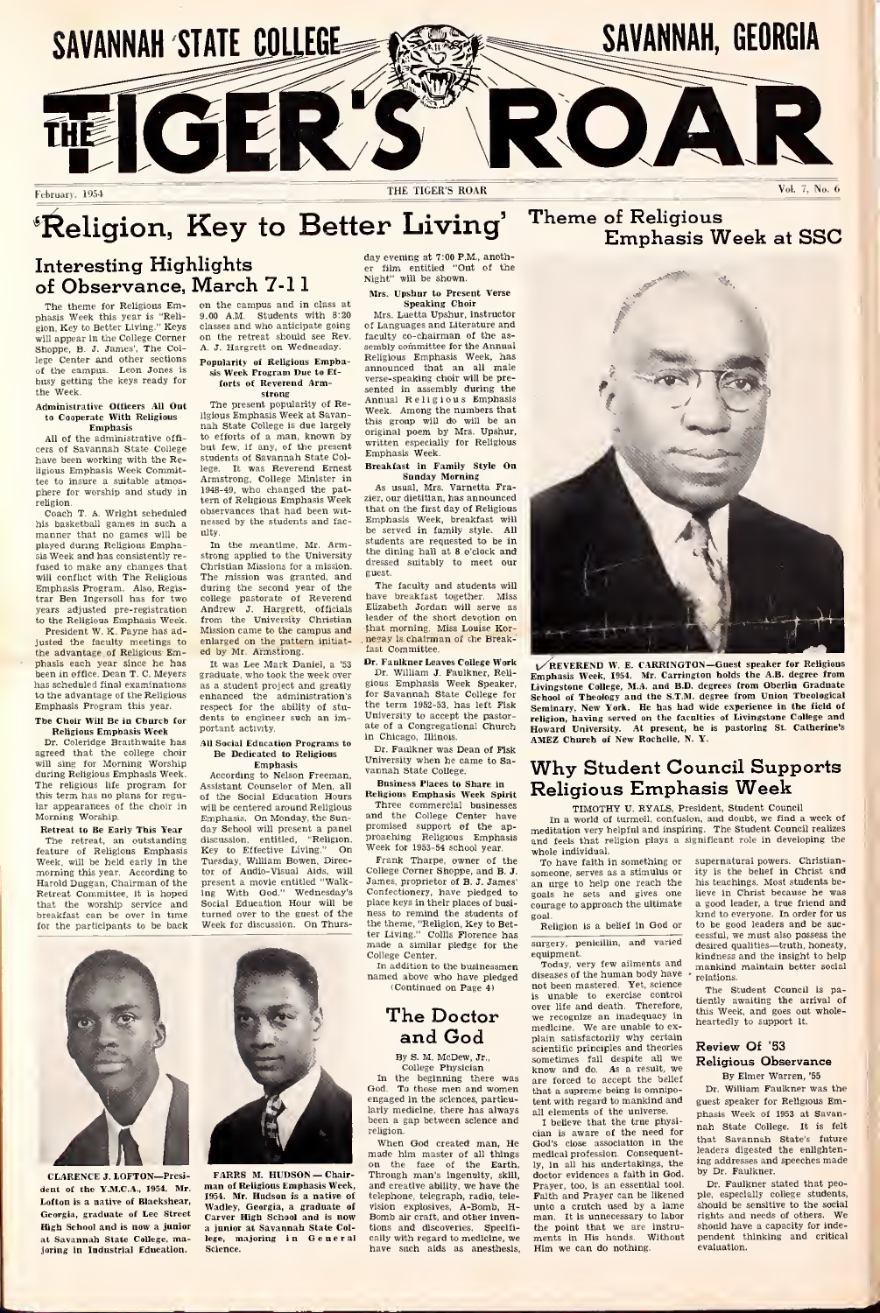

# **Example 12** Religious<br>Interesting Highlights **Section** Contract of the contract of the contract of  $\frac{d}{dt}$ .

## Interesting Highlights of Observance, March 7-11

The theme for Religious Emphasis Week this year is "Reli-gion, Key to Better Living." Keys will appear in the College Corner Shoppe, B. J. James', The College Center and other sections  $\begin{bmatrix} \mathbf{p}_0 \end{bmatrix}$ <br>of the campus. Leon Jones is  $\begin{bmatrix} \mathbf{p}_0 \end{bmatrix}$ the Week.

## Administrative Officers All Out to Cooperate With Religious

Emphasis All of the administrative offi cers of Savannah State College but<br>have been working with the Re-<br>studence Emmaaks Week Commit-lege. ligious Emphasis Week Committee to insure a suitable atmos-<br>phere for worship and study in 19

religion.<br>Coach T. A. Wright scheduled obs his basketball games in such a manner that no games will be played during Religious Empha-Week and has consistently refused to make any changes that will conflict with The Religious Emphasis Program. Also, Regis-trar Ben Ingersoll has for two years adjusted pre-registration to the Religious Emphasis Week.

President W. K. Payne has adjusted the faculty meetings to the advantage of Religious Emphases are accepted the factory meetings to enlarge the has the neutrinos of the hase the has the has scheduled final examinations as a characteristic political examinations are been in office. Dean T. C. Meyers graduate t to the advantage of the Religious — enl<br>Emphasis Program this year. — — — res The Choir Will Be in Church for

## Religious Emphasis Week

Dr. Coleridge Braithwaite has agreed that the college choir will sing for Morning Worship during Religious Emphasis Week. The religious life program for this term has no plans for regu-lar appearances of the choir in Morning Worship.

Retreat to Be Early This Year day The retreat, an outstanding feature of Religious Emphasis Week, will be held early in the morning this year. According to Harold Duggan, Chairman of the Retreat Committee, itis hoped that the worship service and breakfast can be over in time for the participants to be back

on the campus and in class at 9:00 A.M. Students with 8:20 classes and who anticipate going on the retreat should see Rev. A. J. Hargrett on Wednesday.

## Popularity of Religious Empha-sis Week Program Due to Efforts of Reverend Arm-

strong The present popularity of Religious Emphasis Week at Savan-<br>nah State College is due largely to efforts of a man, known by<br>but few, if any, of the present w enous or a man<br>but few, if any, of students of Savannah State Col-<br>lege. It was Reverend Ernest was Reveren

Armstrong, College Minister in 1948-49, who changed the pat-tern of Religious Emphasis Week observances that had been wit nessed by the students and faculty.

In the meantime, Mr. Arm-<br>strong applied to the University Christian Missions for a mission.<br>The mission was granted, and<br>during the second year of the<br>college pastorate of Reverend have<br>Andrew J. Hargrett, officials Eliz<br>from the University Christian lead Mission came to the campus and Andrew J. Hargrett, officials Elfrom the University Christian let<br>Mission came to the campus and the<br>enlarged on the pattern initiat-<br>and by Mr. Armstrong.<br>It was Lee Mark Daniel, a '53 Dr

It was Lee Mark Daniel, a '53 graduate, who took the week over It was Lee Mark Daniel, a '53<br>
reducte, who took the week over<br>
as a student project and greatly<br>
as a student project and greatly<br>
enhanced the administration's<br>
respect for the ability of stuto engineer such an important activity.

## All Social Education Programs to<br>Be Dedicated to Religious

Emphasis Com Assistant Counselor of Men, all of the Social Education Hours will be centered around Religious Emphasis. On Monday, the Sun-day School will present a panel discussion, entitled, "Religion, prousal<br>Cay to Effective Living." On Week<br>Tuesday, William Bowen, Direc-Fri<br>tor of Audio-Visual Aids, will Colle<br>present a movie entitled "Walk-Jame<br>ing With God." Wednesday's Conf ing With God." Wednesday's Social Education Hour will be turned over to the guest of the Week for discussion. On Thurs-

film entitled "Out of the Night" will be shown. day evening at 7:00 P.M., another<br>er film entitled "Out of the<br>Night" will be shown.<br>Mrs. Upshur to Present Verse<br>Speaking Choir

Mrs. Luetta Upshur, instructor of Languages and Literature and faculty co-chairman of the as-<br>sembly committee for the Annual Religious Emphasis Week, has announced that an all male verse-speaking choir will be pre sented in assembly during the Annual Religious Emphasis Week. Among the numbers that this group will do will be an original poem by Mrs. Upshur, written especially for Religious Emphasis Week. Breakfast in Family Style On

Sunday Morning As usual, Mrs. Varnetta Fra-zier. our dietitian, has announced that on the first day of Religious Emphasis Week, breakfast will be served in family style. All Emphasis Week, breakfast will<br>be served in family style. All<br>students are requested to be in<br>the dining hall at 8 o'clock and<br>dressed suitably to meet our guest.

The faculty and students will<br>ave breakfast together Miss ve breakfast together. Elizabeth Jordan will serve as leader of the short devotion on that morning. Miss Louise Kornegay is chairman of the Break-<br>fast Committee.

Dr. Faulkner Leaves College Work Dr. William J. Faulkner, Reli- gious Emphasis Week Speaker, for Savannah State College for the term 1952-53, has left Fisk University to accept the pastor-ate of a Congregational Church in Chicago, Illinois.

Dr. Faulkner was Dean of Fisk University when he came to Sa vannah State College. Business Places to Share in

Religious Emphasis Week Spirit Religious Emphasis Week Spirit Three commercial businesses<br>and the College Center have<br>promised support of the ap-<br>proaching Religious Emphasis and<br>Week for 1953-54 school year.

Frank Tharpe, owner of the

College Corner Shoppe, and **B. J.** <sub>son</sub><br>James, proprietor of **B. J. Ja**mes' <sub>an</sub> Confectionery, have pledged to <sub>go</sub><br>place keys in their places of business to remind the students of the theme, "Religion, Key to Bet-Religion, The theme, "Religion" Collis Florence has the small condition of the students of the small condition of the small condition of the small condition o This college Center.<br>
In addition to the businessmen

In addition to the businessmen T<br>named above who have pledged (Continued on Page 4) not

## The Doctor and God

By S.M. McDew, Jr., College Physician

In the beginning there was are in<br>God. To those men and women<br>that engaged in the sciences, particu-<br>larly medicine, there has always all electron a gap between science and<br>there is religion. engaged in the sciences, particu-<br>larly medicine, there has always

religion.<br>When God created man, He When God created man, He God'<br>made him master of all things media<br>on the face of the Earth. Iy, 1<br>Through man's ingenuity, skill, doct and creative ability, we have the telephone, telegraph, radio, tele and creative ability, we have the Pracelephone, telegraph, radio, tele-<br>Pracelephone, telegraph, radio, tele-<br>Homb ah- craft, and other tinven-man<br>Homs and discoveries. Specifi- the cally with regard to medicine, we have such aids as anesthesis,

## Emphasis Week at SSC



REVEREND W. E. CARRINGTON—Guest speaker for Religious Emphasis Week, 1934. Mr. Carrington bolds the A.B. degree from<br>Livingstone College. M.A. and B.D. degrees from Opering Constants<br>Livingstone College. M.A. and B.D. degrees from Opering Constants<br>of Seminary. New York. He h

## Why Student Council Supports Religious Emphasis Week

## TIMOTHY U.RYALS, President. Student Council

In a world of turmoil, confusion, and doubt, we find <sup>a</sup> week of meditation very helpful and inspiring. The Student Council realizes and feels that religion plays a significant role in developing the whole individual.

To have used in something or supernatural portal control of the set of the set of the set of the set of the set of the set of the set of the set of the set of the set of the set of the set of the set of the set of the set someone, serves as a stimulus or an urge to help one reach the goals he sets and gives one courage to approach the ultimate goal. Religion is a belief in God or

surgery, penicillin, and varied

equipment.<br>Today, very few ailments and more diseases of the human body have - relation to been mastered. Yet, science is unable to exercise control ties<br>over life and death. Therefore, this<br>we recognize an inadequacy in the medicine. We are unable to ex-<br>plain satisfactorily why certain<br>scientific principles and theories sometimes fail despite all we<br>know and do. As a result, we<br>are forced to accept the belief<br>that a supreme being is omnipo-<br> tent with regard to mankind and guest speaker for Religious Email elements of the universe. These Week of 1953 at Savanall elements of the universe.<br>I believe that the true physi-

cian is aware of the need for the God's close association in the the<br>medical profession. Consequently, in all his undertakings, the doctor evidences a faith in God. Prayer, too, is an essential tool. Faith and Prayer can be likened unto a crutch used by a lame show<br>man. It is unnecessary to labor tight<br>the point that we are instru-show<br>ments in His hands. Without pen ments in His hands.<br>Him we can do nothing

supernatural powers. Christian-ity is the belief in Christ and his teachings. Most students believe in Christ because he was a good leader, a true friend and kind to everyone. In order for us to be good leaders and be successful, we must also possess the desired qualities—truth, honesty, kindness and the insight to help mankind maintain better social relations.

The Student Council is pa-<br>entix awaiting the arrival of tiently awaiting the arrival of this Week, and goes out whole-heartedly to support it.

### Review Of '53 Religious Observance By Elmer Warren, '55

Dr. William Faulkner was the guest speaker for Religious Em-phasis Week of 1953 at Savan- nah State College. It is felt that Savannah State's future<br>leaders digested the enlighten-<br>ing addresses and speeches made<br>by Dr. Faulkner stated that peo-<br>Dr. Faulkner stated that peo-<br>ple, especially college students,

by Dr. Faulkner.<br>Dr. Faulkner stated that pe ple, especially college students,<br>should be sensitive to the social rights and needs of others. We should have a capacity for inde- pendent thinking and critical evaluation.



CLARENCE J. LOFTON-Presi- FARRS M. HUDSON - Chair-FARRS M. HUDSON — Chair-<br>man of Religious Emphasis Week, and<br>1954. Mr. Hudson is a native of tele Wadley, Georgia, a graduate of - visio<br>Carver High School and is now - Bom<br>a junior at Savannah State Col- - tion: lege, majoring in General Science.

dent of the **Y.M.C.A.**, 1954. Mr. Lofton is a native of Blackshear, Georgia, graduate of Lee Street High School and is now a junior at Savannah State College, ma-he.<br>Joring in Industrial Education. So

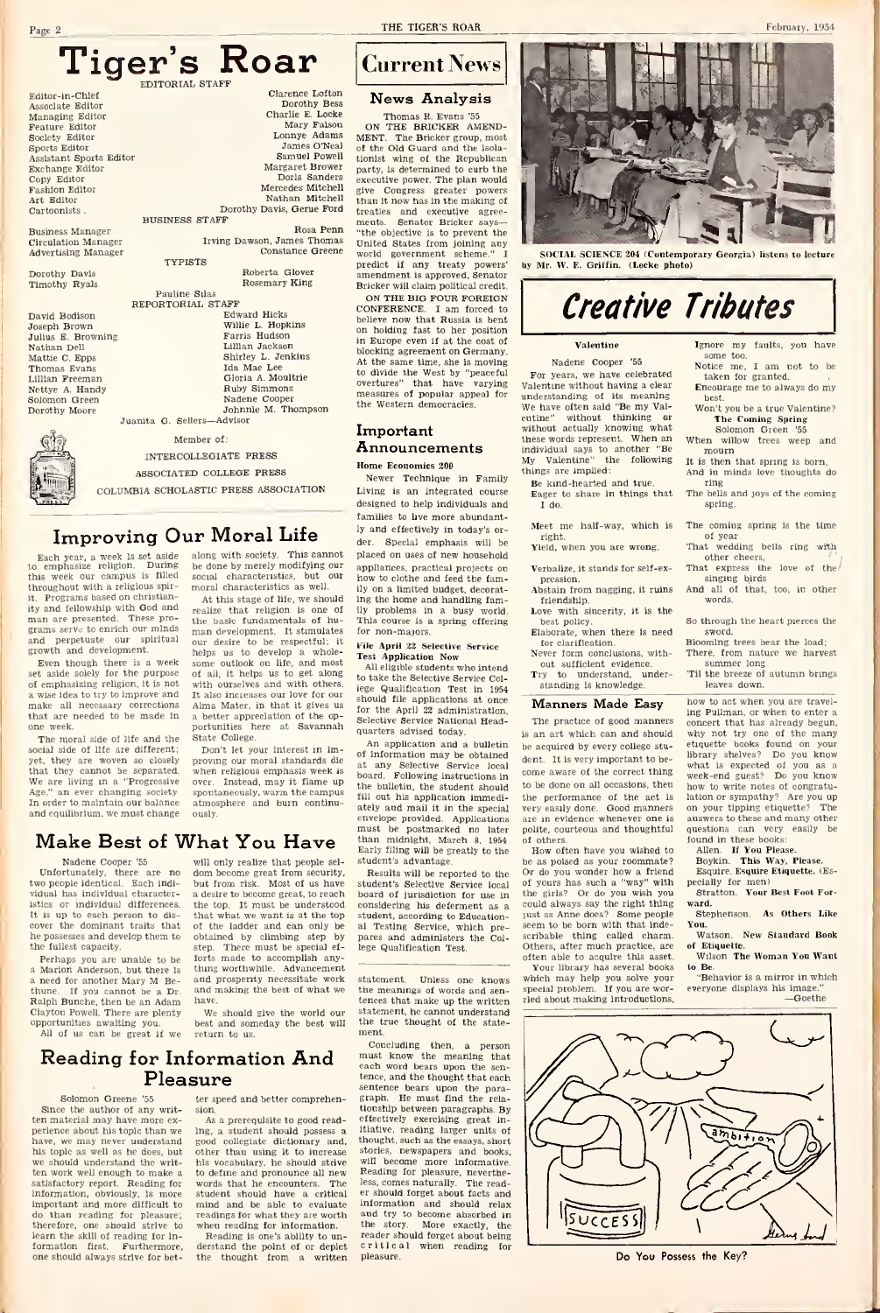montes.<br>Monte Feat

Exchange Editor Copy Fash Art 1 Cart Busin<br>Circu Doro Timo David Joseph Brown Juliu Nath Mattie C. Epps Thom<br>Lillia

 $g_{\alpha\lambda\alpha}$ Dorothy Moore

Ch

## Tiger's Roar

|                            | EDITORIAL STAFF             |                   |
|----------------------------|-----------------------------|-------------------|
| Editor-in-Chief            | Clarence Lofton             | ľ                 |
| Associate Editor           | Dorothy Bess                |                   |
| Managing Editor            | Charlie E. Locke            |                   |
| Feature Editor             | Mary Falson                 | $^{\circ}$        |
| Society Editor             | Lonnye Adams                | MEN               |
| Sports Editor              | James O'Neal                | $01$ <sub>t</sub> |
| Assistant Sports Editor    | Samuel Powell               | tionl             |
| Exchange Editor            | Margaret Brower             | part              |
| Copy Editor                | Dorls Sanders               | exec              |
| Fashion Editor             | Mercedes Mitchell           | give              |
| Art Editor                 | Nathan Mitchell             | than              |
| Cartoonists.               | Dorothy Davis, Gerue Ford   | treat             |
|                            | <b>BUSINESS STAFF</b>       | men               |
| <b>Business Manager</b>    | Rosa Penn                   | "the              |
| <b>Circulation Manager</b> | Irving Dawson, James Thomas | Unit              |
| <b>Advertising Manager</b> | Constance Greene            | worl              |
|                            | <b>TYPISTS</b>              | pred              |
| Dorothy Davis              | Roberta Glover              | ame:              |
| Timothy Ryals              | Rosemary King               | Briel             |
|                            | Pauline Stlas               | O <sub>l</sub>    |
|                            | REPORTORIAL STAFF           | CON               |
| David Bodison              | Edward Hicks                | belie             |
| Joseph Brown               | Willie L. Hopkins           | on 1              |
| Julius E. Browning         | Farris Hudson               | in E              |
| Nathan Dell                | Lillian Jackson             | block             |
| Mattie C. Epps             | Shirley L. Jenkins          | At t              |
| Thomas Evans               | <b>Ida Mae Lee</b>          | to d              |
| Lillian Freeman            | Gloria A. Moultrie          | over              |
| Nettye A. Handy            | Ruby Simmons                | mea               |
| Solomon Green              | Nadene Cooper               | the               |
| Dorothy Moore              | Johnnie M. Thompson         |                   |
|                            | Juanita G. Sellers-Advisor  |                   |

Member of: INTERCOLLEGIATE PRESS

ASSOCIATED COLLEGE PRESS

COLUMBIA SCHOLASTIC PRESS ASSOCIATION

# Improving Our Moral Life  $\frac{y}{\det}$ <br>h year, a week is set aside along with society. This cannot place<br>pphasize religion. During be done by merely modifying our appro-<br>verk our campus is filled social characteristics, but

Each year, a week isset aside to emphasize religion. During this week our campus is filled social characteristics, but our throughout with a religious spir-<br>moral characteristics as well. throughout with a religious spir-Programs based on christianity and fellowship with God and man are presented. These pro grams serve to enrich our minds<br>and perpetuate our spiritual and perpetuate our spiritual growth and development.

Even though there is a week Even though there is a week something religion, it is not emphasizing religion, it is not with<br>of emphasizing religion, it is not with<br>o wise idea to ivy to improve and it a a wise idea to try to improve and It at<br>make all necessary corrections Alm<br>that are needed to be made in a be one week.

The moral side of life and the social side of life are different; yet, they are woven so closely pro<br>that they cannot be separated. wh We are living in a "Progressive over<br>Age," an ever changing society spo<br>In order to maintain our balance atm and equilibrium, we must change

der.<br>
along with society. This cannot plate<br>
be done by merely modifying our app<br>
social characteristics, but our moral characteristics as well.<br>  $\frac{1}{10}$ ,  $\frac{1}{10}$ ,  $\frac{1}{10}$ ,  $\frac{1}{10}$ ,  $\frac{1}{10}$ ,  $\frac{1}{10}$ ,  $\frac{$ 

At this stage of life, we should<br>realize that religion is one of the<br>the basic fundamentals of hu-<br>man development. It stimulates for our desire to be respectful; it File April 22 Selective Service helps us to develop a whole-<br>some outlook on life, and most a helps us to develop a whole-<br>some outlook on life, and most<br>of all, it helps us to get along<br>with ourselves and with others. It also increases our love for our Alma Mater, in that it gives us a better appreciation of the op-<br>portunities here at Savannah State College.

Don't let your interest in improving our moral standards die at<br>when religious emphasis week is over. Instead, may it flame up<br>spoutaneously, warm the campus spontane, may be reason.<br>eously, warm the cam atmosphere and burn continuously.

## will only realize that people sel-

Nadene Cooper '55

ortunately, there are two people identical. Each indi-<br>vidual has individual character- a desire to hecome great to reach<br>vidual has individual character- a desire to hecome great to reach vidual has individual characteristics or individual differences. It is up to each person to discover the dominant traits that he possesses and develop them to the fullest capacity.

Perhaps you are unable to be a Marion Anderson, but there is need for another Mary M. Be **Perhaps you are unable to be** forts a Marion Anderson, but there is thing and a need for another May M Be-<br>and dume. If you cannot be a Dr. and r<br>hune. If you cannot be a Dr. and r<br>Ralph Bunche, then be an Adam have.<br>Clay

opportunities awaiting you. All of us can be great if we

dom become great from security, will only realize that people sel-<br>dom become great from security. Reput<br>the from risk. Most of us have stude<br>a desire to become great, to reach boas<br>the top. It must be understood comthe top. It must be understood<br>that what we want is at the top dom become great from security. Red at the state of the defined and calculate the ladder the top. It must be understood conditated by climbing step by particle that what we want is at the top studied by climbing step by pa forth made to accomplish anything worthwhile. Advancement and prosperity necessitate work and making the best of what we have. ten<br>We should give the world our stat

best and someday the best will return to us.

## Reading for Information And Pleasure

## Solomon Greene '55

Since the author of any writ ten material may have more perience about his topic than we have, we may never understand his topic as well as he does, but we should understand the writ ten work well enough to make as to<br>satisfactory report. Reading for swg information, obviously, is more important and more difficult to do than reading for pleasure; therefore, one should strive to learn the skill of reading for in formation first. Furthermore, der<br>one-should-always-strive-for-bet- the

ter speed and better comprehension,

As a prerequisite to good readgood collegiate dictionary and. other than using it to increase his vocabulary, he should strive to define and pronounce all new<br>words that he encounters. The words that he encounters. student should have a critical mind and be able to evaluate readings for what they are worth when reading for information.<br>Reading is one's ability to un-

derstand the point of or depict the thought from <sup>a</sup> written

Page 2 THE TIGER'S ROAR

## Current News

## News Analysis

Charlie E. Locke Thomas R. Evans '55 Mary Falson ON THE BRICKER AMEND-Lonnye Adams James O'Neal of the Old Guard and the Isola-Samuel Powell tionist wing of the Republican Margaret Brower party, is determined to curb the Dorls Sanders executive power. The plan would Mercedes Mitchell give Congress greater powers Nathan Mitchell give Congress greater powers Dorothy Davis, Gerue Ford treaties and executive agree-Rosa Penn ments. Senator Bricker says— The Bricker group, most United States from joining any and the second states from joining any world government scheme." I SOCIAL SCIENCE 204 (Conte world government scheme." I<br>predict if any treaty powers' by<br>amendment is approved, Senator preciet it any teeny powers<br>amendment is approved, Senator<br>Bricker will claim political credit. ON THE BIG FOUR FOREIGN<br>CONFERENCE I am forced to CONFERENCE. <sup>I</sup>am forced to believe now that Russia isbent on holding fast to her position<br>in Europe even if at the cost of in Europe even if at the blocking agreement on Germany. At the same time, she is moving to divide the West by "peaceful property" are varying values measures of popular appeal for the Western democracies. The W

### Important Announcements Home Economics 200

Newer Technique in Family Living is an integrated course designed to help individuals and families to live more abundantly and effectively in today's order. Special emphasis will be placed on uses of new household appliances, practical projects on how to clothe and feed the famplaced on uses of new household<br>appliances, practical projects on<br>how to clothe and feed the fam-<br>ily on a limited budget, decorat-<br>ily problems in a busy world.<br>This course is a spring offering<br>for non-majors. for non-majors.

File Source is a spring offering<br>This course is a spring offering<br>for non-majors.<br>Test Application Now<br>Test Application Now intendents who intend

to take the Selective Service Col-lege Qualification Test in 1954 should file applications at once for the April 22 administration. Selective Service National Head-quarters advised today.

a ceter to manitaln out basines a stronghere and burn continue are evolops provided. Applications and continue<br> $\mathbf{M}$  and equilibrium, we must change outly. The spin of the position in latter than  $\mathbf{M}$  and  $\mathbf{M}$  An application and a bulletin of information may be obtained at any Selective Service local Following instructions in the bulletin, the student should fill out his application immediately and mail it in the special verwelope provided. Applications are<br>must be postmarked no later poi<br>than midnight, March 8, 1954 of Early filing will be greatly to the student's advantage.

Results will be reported to the student's Selective Service local of<br>board of jurisdiction for use in the bought is anything the properted to the Oristandent's Selective Service local of the considering his deferment as a counterfunction-<br>student, according to Education-<br>considering to Educational Testing Service, which pre- pares and administers the Col-lege Qualification Test.

statement. Unless one knows the meanings of words and sentences that make up the written ried<br>statement, he cannot understand the true thought of the state-

ing, a student should possess a litative, reading larger units of good collegiate dictionary and thought, such as the essays short ment.<br>
Concluding then, a person<br>
must know the meaning that<br>
each word bears upon the sen-<br>
tence, and the thought that each sentence bears upon the paragraph. He must find the rela-<br>tionship between paragraphs. By effectively exercising great In-itiative, reading larger units of thought, such as the essays, short stories, newspapers and books, will become more informative. Reading for pleasure, neverthe-less, comes naturally. The readless, comes naturally. The read-<br>er should forget about facts and information and should relax<br>and try to become absorbed in the story. More exactly, the<br>reader should forget about being critical when reading for ple



nporary Georgia) listens to lecture by Mr. W. E. Griffin. (Locke photo)

## Creative Tributes

### Valentine

Nadene Cooper '55 For years, we have celebrated<br>Valentine without having a clear understanding of its meaning. We have often said "Be my Valentine" without thinking or without actually knowing what these words represent. When an individual says to another "Be My Valentine" the following things are implied:

Be kind-hearted and true. Eager to share in things that I do.

Meet me half-way, which is right.<br>Yield, when you are wrong.

- Verbalize, it stands for self-expression.
- 
- 
- for clarification. Never form conclusions, with-
- out sufficient evidence understand. standing is knowledge.'

#### Manners Made Easy

The practice of good manners is an art which can and should be acquired by every college student. It is very important to be come aware of the correct thing to be done on all occasions, then how to write notes of congra<br>the performance of the act is lation or sympathy? Are you the performance of the act is lation or sympathy? Are your capital done. Good monners on your tinning stiggetter very easily done. Good manners are in evidence whenever one polite, courteous and thoughtful

of others. How often have you wished to be as poised as your vacuum<br>or do you wonder how a friend compare of yours has such a "way" with<br>the girls? Or do you wish you est<br>could always say the right thing ware<br>just as Anne does? Some people ust as Anne does? Some people seem to be born with that indescribable thing called charm. Others, after much practice, are often able to acquire this asset.

Your library has several books which may help you solve your special problem. If you are wor-ried about making introductions.



other cheers,<br>That express the love of the

So through the heart pierces the sword.

w to act when you are traveling Pullman, or when to enter a concert that has already begun, now to are well view to enter a<br>concert that has already begun,<br>why not try one of the many<br>shelves found on your<br>binary shelves? Do you know what is expected of you as a week-end guest? Do you know when a week-end guest? Do you know lation or sympathy? Are you up on your tipping etiquette? The how to write notes of congratuanswers to these and many other questions can very easily be

found in these books;<br>Allen. If You Please.<br>Boykin. This Way, Please.<br>Esquire. Esquire Etiquette. (Es-

pecially for men). Stratton Your Best Foot For ward. Stephenson. As Others Like

- You.Watson, New Standard Book
- of Etiquette. Wilson. The Woman You Want

to Be. "Behavior is a mirror in which

everyone displays his image. —Goethe.



## Do You Possess the Key?

## Ignore my faults, you have some too. Notice me, I am not to be<br>taken for granted.

Encourage me to always do my best.<br>Won't you be a true Valentine?

February, 1954

- 
- And in minds love thoughts do<br>ring
- ring The bells and joys of the coming spring.

## The coming spring is the time<br>of year

## of year That wedding bells ring with

## That express the love of the' singing birds And all of that, too. in other words.



## sword.<br>Blooming frees hear the load:

Blooming trees bear the load; There, from nature we harvest summer long 'Til the breeze of autumn brings leaves down.

Pression.<br>
Abstain from nagging, it ruins<br>
Love with sincerity, it is the<br>
best policy.<br>
So best policy. Elaborate, when there is need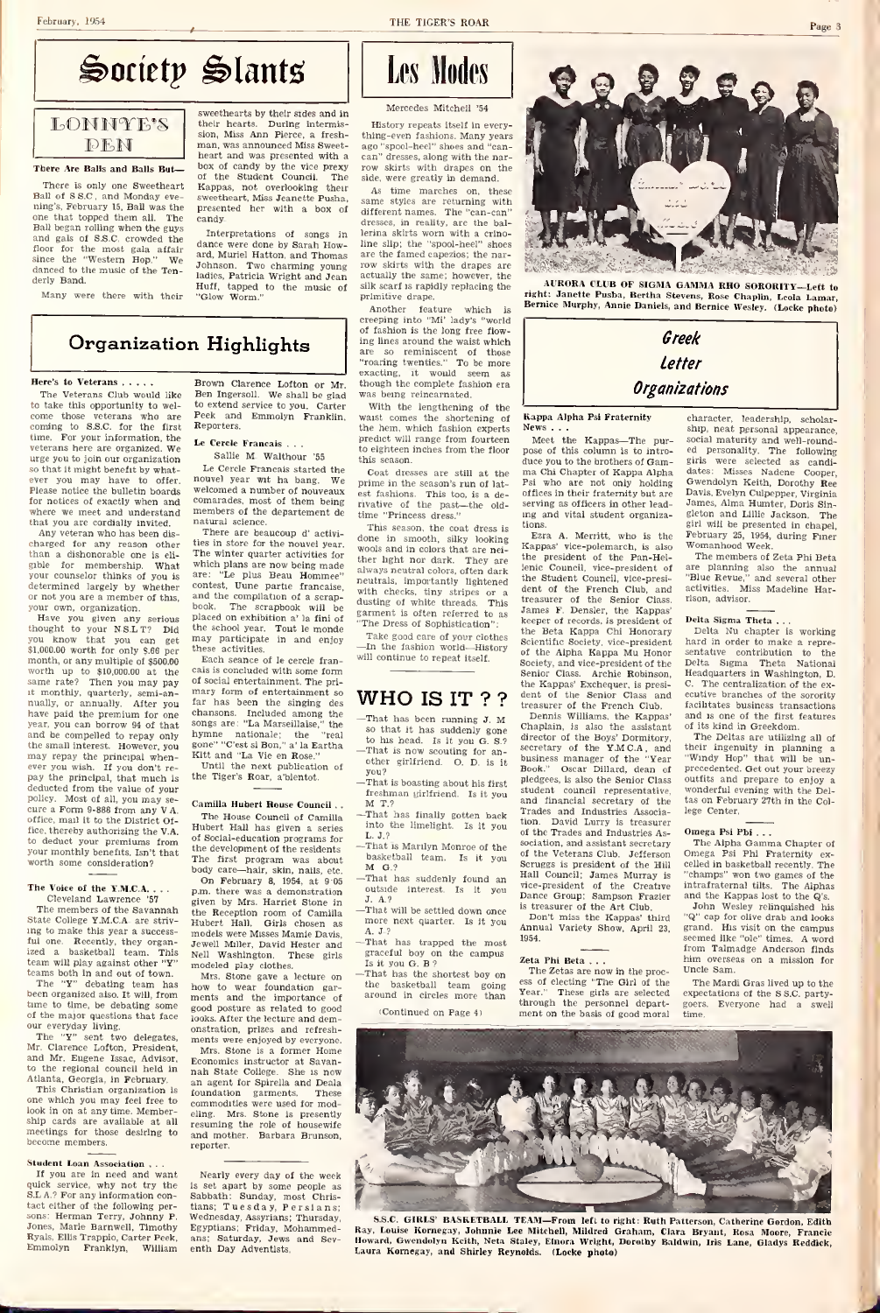### February, 1954

THE TIGER'S ROAR



LONNYE'S | their hearts sweethearts by their sides and in their hearts. During intermissweethearts by their atdes and in<br>their hearts. During intermission, Miss Ann Pierce, a fresh-<br>thiman, was announced Miss Sweet-age<br>heart and was presented with a candy<br>box of candy by the vice prexy<br>row of the Student Council. The side,<br>Kappas, not overlooking their - <sub>As</sub> sweetheart. Miss Jeanette Pusha, presented her with a box of candy.

and gals of S.S.C. crowded the dance<br>floor for the most gala affair dance<br>since the "Western Hop." We robbe dance were done by Sarah How-ard, Muriel Hatton. and Thomas Johnson. Two charming young ladies. Patricia Wright and Jean Huff, tapped to the music of "Glow Worm."

## **Les Modes**

### Mercedes Mitchell '54

History repeats itself in every thing-even fashions. Many years ago "spool-heel" shoes and "can can" dresses, along with the nar-<br>row skirts with drapes on the side, were greatly in demand.

Interpretations of songs in lerina skirts worn with a As time marches on, these<br>same styles are returning with different names. The "can-can" dresses, in reality, are the ballerina skirts worn with a crinoline slip; the "spool-heel" shoes are the famed capezios; the nar row skirts with the drapes are<br>actually the same; however, the tow sent to what silk scarf is rapidly replacing the primitive drape.

Another feature which is anounci reasure wn<br>eping into "Mi' lady's of fashion is the long free flow- ing lines around the waist which are so reminiscent of those "roaring twenties." To be more exacting, it would seem as though the complete fashion era gu un compiete au

With the lengthening of the waist comes the shortening of the hem, which fashion experts wast comes the shortening of **Ka**<br>the hem, which fashion experts **Ne**<br>predict will range from fourteen  $\frac{1}{h}$ <br>to eighteen inches from the floor possibility season.

Coat dresses are still at prime in the season's run of lat est fashions. This too, is a de-rivative of the past—the old time "Princess dress."

This season, the coat dress is done in smooth, silky looking Ka<br>wools and in colors that are neither light nor dark. They are <sup>the</sup><br>always neutral colors, often dark neutrals, importantly lightened ks, tiny stripes or a white threads. This dusting of white threads. The Dress of Sophistication":<br>Take good care of your clothes

garment is often referred to as<br>
"The Dress of Sophistication":<br>
Take good care of your clothes<br>
will continue to repeat itself.<br>
will continue to repeat itself.

## WHO IS IT ? ?

- —That has been running J. M.  $\begin{tabular}{ll} \hline -{\text{That has been running J. M}} & \text{D} \\ \hline \text{so that it has suddenly gone} & \text{Chs} \\ \text{to his head.} & \text{Is it you G. S.?} & \text{direc} \\ \hline -{\text{That is now accounting for an-}} & \text{sec} \\ \hline \end{tabular}$ or ins next, is it you as  $\sigma$ .<br>That is now scouting for an-<br>other girlfriend. O. D. is it Book!
- freshman girlfriend. Is it you
- M. T.? and T.? All that has finally gotten back Tra into the limelight. Is it you then.
- L. J.?<br>—That is Marilyn Monroe of the <sup>500</sup> basketball team. Is it you<br>basketball team. Is it you
- M. G.? —That has suddenly found an outside interest. Is it you
- J. A.? —That will be settled down once more next quarter. Is it you
- A, J.?<br>That has trapped the most 1954 graceful boy on the campus Zeta Phi Beta ...
- That has the shortest boy on the basketball team going <sup>cas</sup><br>around in circles more than

<sup>i</sup> Continued on Page 4i

Letter **Organizations** 

Greek

Kappa Alpha Psi Fraternity News . . .

Meet the Kappas—The pur-pose of this column is to intro puse of this column is to intro-<br>duce you to the brothers of Gam-<br>ma Chi Chapter of Kappa Alpha<br>dates: who are not only holding offices in their fraternity but are<br>serving as officers in other lead in their inautinty out are ing and vital student organiza-

g of minds uneaus. Trips James F. Densler, the Kappas'<br>https://www.scient.com/minds.com/minds/because of Sophistication". the Beta Kappa Chi Honorary tions.<br>Ezra A. Merritt, who is the Fet Kappas' vice-polemarch, is also the<br>the president of the Pan-Hellenic Council, vice-president of the Student Council, vice-presi- "Blue<br>the Student Council, vice-presi- dent of the Senior Clubs, the Senior<br>James F. Densler, the Kappas'<br>keeper of records, is president of Delt<br>the Beta K Scientific Society, vice-president<br>of the Ainha Kanna Mu Honor of the Alpha Kappa Mu Honor Society, and vice-president of the Senior Class. Archie Robinson<br>the Kappas' Exchequer, is presi

That is boasting about his first piedgees, is also the Senior Class<br>fraction of the student council representative the Kappas' Exchequer, is presi- G.<br>dent of the Senior Class and eculib.<br>Incassurer of the French Club. Itaali<br>Dennis Williams, the Kappas' and<br>Chaplain, is also the assistant of the<br>director of the Boys' Dormitory, secretary of the Y.M.C.A., and their<br>business manager of the "Year "Wh<br>Book." Oscar Dillard, dean of prec<br>pledgees, is also the Senior Class sout<br>student council representative, won work." Oscar Dillard, dean of and financial secretary of the Trades and Industries Association. David Lurry is treasurer of the Trades and Industries Association, and assistant secretary of the Veterans Club. Jefferson Scruggs is president of the Hill Hall Council; James Murray is ''ch<br>vice-president of the Creative int Dance Group; Sampson Frazier is treasurer of the Art Club.

Don't miss the Kappas' third Annual Variety Show, April 23. 1954.

Zeta Phi Beta . . .<br>The Zetas are now in the proc-<br>ess of electing "The Girl of the Theorem"<br>Year." These girls are selected exp Year." These girls are selected exp<br>through the personnel depart- goe<br>ment on the basis of good moral - tim

character, leadership, scholar-<br>ship, neat personal appearance, ship, neat personal appearance, social maturity and well-rounded personality. The following girls were selected as candidates: Misses Nadene Cooper, Gwendolyn Keith, Dorothy Ree Davis, Evelyn Culpepper. Virginia James, Alma Humter. Doris Sin-gleton and Lillie Jackson. The giri will be presented in chapel,<br>February 25, 1954, during Finer Womanhood Week. The members of Zeta Phi Beta

are planning also the annual<br>"Blue Revue," and several other "Blue Revue," and several other activities. Miss Madeline Har-rison, advisor.

Delta Sigma Theta . . .<br>Delta Nu chapter is working hard in order to make a representative contribution to the Delta Sigma Theta National Headquarters in Washington, D. sentative contribution to the<br>Delta Sigma Theta National<br>Headquarters in Washington, D.<br>C. The centralization of the ex-<br>ecutive branches of the sorority<br>facilitates business transactions and is one of the first features

of its kind in Greekdom. The Deltas are utilizing all of their ingenuity in planning a "Windy Hop" that will be un-precedented. Get out your breezy outfits and prepare to enjoy a wonderful evening with the Deltas on February 27th in the College Center.

#### ega Psi Phi . . .

Omega Psi PDi . . .<br>The Alpha Gamma Chapter of<br>Omega Psi Phi Fraternity ex-<br>celled in basketball recently. The<br>"champs" won two games of the "champs" won two games of the intrafraternal tilts. The Alphas and the Kappas lost to the Q's.

John Wesley relinquished his "Q" cap for olive drab and looks grand. His visit on the campus seemed like "ole" times. A word from Talmadge Anderson finds overseas on a mission for Uncle Sam. From Talmadge Anderson finds<br>thim overseas on a mission for<br>Uncle Sam.<br>The Mardi Gras lived up to the<br>expectations of the S.S.C. party-

Everyone had a swell time.



SS.C. GIRLS' RASK-FRAML TEAM-From lett to right: Reth Patieraon, Catherine Gordon, Editor, E. Gas, Louise Kernegay, Johnnie Lee Milchell, Mildred Graham, Chara Bryant, Rosa Moore, Francie Ray, Leuis Thomas, State, R. R. R.

## Organization Highlights

### Here's to Veterans . . . . .

The Veterans Club would like Ben Ingersoll. to take this opportunity to wel come those veterans who are the come those veterans who are coming to S.S.C. for the first Refine. For your information, the  $r_a$ time. For your information, the urge you to join our organization so that it might benefit by whatyou may have to offer. ext nave to offer.<br>Phe bulletin boards for notices of exactly when and where we meet and understand<br>where we meet and understand<br>that you are cordially invited

There Are Balls and Balls But— There is only one Sweetheart Ball of S.S.C., and Monday ev ning's, February 15, Ball was the one that topped them all. The<br>Ball began rolling when the guys one suit topped them suit the<br>Ball began rolling when the guys<br>and gale of 88.C. crowded the

**DEN** 

danced to the music of the Tenderly Band. Many were there with their

that you are cordially invited. Any veteran who has been dis- 7<br>charged for any reason other ties than a dishonorable one is eli-<br>gible for membership. What for membership. your counselor thinks of you is determined largely by or not you are a member of this, your own, organization.

Have you given any serious place<br>Have you given any serious place<br>you know that your N.S.L.T? Did the<br>you know that you can get may<br>\$1,000.00 worth for only \$,66 per \$1,000.00 worth for only \$.66 per month, or any multiple of \$500.00 worth up to \$10,000.00 at the same rate? Then you may pay of situation, quarterly, semi-an-<br>nually, or annually. After you far<br>have paid the premium for one sha<br>have paid the premium for one shares, you can borrow 94 of th the small interest. However, you may repay the principal when-ever you wish. If you don't re pay the principal, that much is deducted from the value of your policy. Most of all, you may curey, must of an, you may se-<br>ure a Form 9-886 from any V.A. The House Council of Camilla office, mail it to the District Office, thereby authorizing the V.A. to deduct your premiums from to deduct your premiums from<br>your monthly benefits fan't that the development of the deration?

#### The Voice of the Y.M.C.A. Cleveland Lawrence '57 Cleveland Lawrence '57 giver<br>The members of the Savannah the

State College Y.M.C.A. are striv ing to make this year a successful one. Recently, they organ- Jew<br>ized a basketball team. This Nell<br>team will play against other "Y" mod

teams both in and out of town.<br>The "Y" debating team has how<br>been organized also. It will, from mer time to time, be debating some good<br>of the major questions that face look<br>our everyday living.

The "Y" sent two delegates, me<br>Mr. Clarence Lofton, President, and Mr. Eugene Issac, Advisor, <sub>Eci</sub><br>to the regional council held in <sub>no</sub>

Atlanta, Georgia, in February. This Christian organization is one which you may feel free to look in on at anytime. Membership cards are available at all respectings for those desiring to an become members.

Student Loan Association . . .<br>If you are in need and want No quick service, why not try the S.L.A.? For any information contact either of the following persons: Herman Terry, Johnny P. Wed<br>Jones, Marie Barnwell, Timothy Egy Ryals, Ellis Trappio, Carter Peek. Emmolyn Franklyn, William

Brown Clarence Lofton or Mr. Ben Ingersoll. We shall be glad to extend service to you. Carter V<br>Peek and Emmolyn Franklin, wa: Reporters.

Le Cercle Francais . . Sallie M Walthour '55

Le Cercle Francais started the nouvel year wit ha bang. welcomed a number of nouveaux<br>welcomed a number of nouveaux<br>comarades, most of them being members of the departement de

tural science. There are beaucoup d' activi-<br>es in store for the nouvel vear The winter quarter activities for which plans are now being made<br>are: "Le plus Beau Hommee" noute contest, Uune partie francaise.  $\frac{1}{N}$ <br>and the compilation of a scrapbook. The scrapbook will be dustin<br>placed on exhibition a' la fini of garme and the compliation of a scrap-<br>book. The scrappiook will be<br>placed on exhibition a' la fini of "The<br>the school year. Tout le monde<br>may participate in and enjoy  $\frac{m}{\sqrt{2}}$ <br>these activities.

Each seance of le cercle from cais is concluded with some form<br>of social entertainment. The primary form of entertainment so far has been the singing des chansons. Included among the<br>songs are: "La Marseillaise," the songs are: "La Marseillaise," the hymne nationale; the "real gone" "C'est si Bon," a' la Eartha Kitt and "La Vie en Rose." Until the next publication of

the Tiger's Roar, a'bientot.

## Camilla Hubert Rouse Council

The House Council of Camilla  $^{-1}$ <br>Hubert Hall has given a series  $^{-1}$ of Social-education programs for L. J.;<br>the development of the residents —That the development of the residents. The first program was about body care—hair, skin, nails, etc.  $\frac{N}{2}$  on February 8, 1954, at 9:05 p.m. there was a demonstration by Mrs. Harriet Stone the Reception room of Camilla  $^{-1}$ <br>Hubert Hall. Girls chosen as models were Misses Mamie Davis. A Jewell Miller. David Hester and Nell Washington. These girls Jewell Miller, David Hester and  $\frac{m-1}{8}$ <br>modeled play ciothes. Stone gave a lecture on  $\frac{m-1}{2}$ <br>modeled play ciothes. Mrs. Stone gave a lecture on  $\frac{m-1}{2}$ 

ments and the importance of a<br>good posture as related to good looks. After the lecture and demonstration, prizes and refresh- ments were enjoyed by everyone.

Mrs. Stone is a former Home Economics instructor at Savan-<br>mah State College. She is now<br>an agent for Spirella and Deala<br>commodities were used for mod-<br>commodities were used for mod-<br>eling. Mrs. Stone is presently<br>mand mother. Barbara Brunson, reporter.

Nearly every day of the week<br>Is set apart by some people as<br>Sabbath: Sunday, most Chris-<br>tians; Tuesday, Persians; Wednesday. Assyrians; Thursday, Egyptians; Friday, Mohammed-ans; Saturday, Jews and Sev- enth Day Adventists.